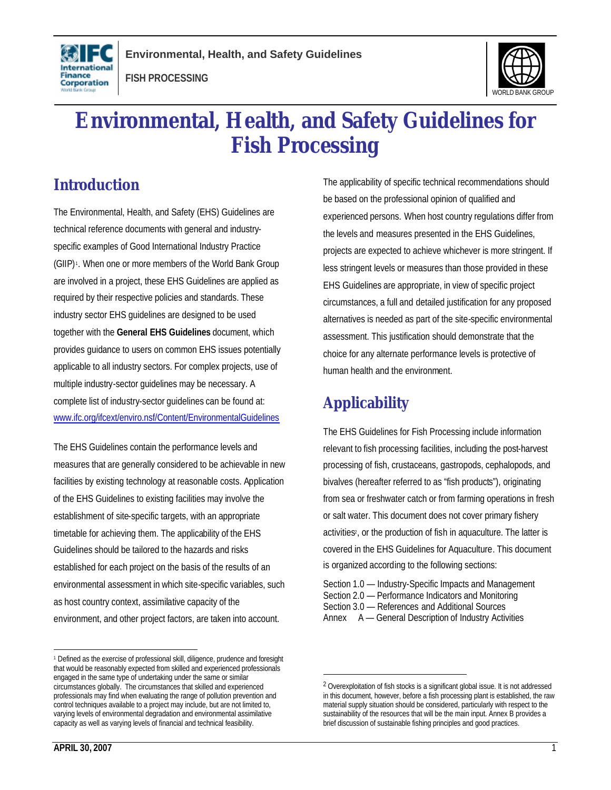





# **Environmental, Health, and Safety Guidelines for Fish Processing**

# **Introduction**

The Environmental, Health, and Safety (EHS) Guidelines are technical reference documents with general and industryspecific examples of Good International Industry Practice (GIIP)<sup>1</sup>. When one or more members of the World Bank Group are involved in a project, these EHS Guidelines are applied as required by their respective policies and standards. These industry sector EHS guidelines are designed to be used together with the **General EHS Guidelines** document, which provides guidance to users on common EHS issues potentially applicable to all industry sectors. For complex projects, use of multiple industry-sector guidelines may be necessary. A complete list of industry-sector guidelines can be found at: www.ifc.org/ifcext/enviro.nsf/Content/EnvironmentalGuidelines

The EHS Guidelines contain the performance levels and measures that are generally considered to be achievable in new facilities by existing technology at reasonable costs. Application of the EHS Guidelines to existing facilities may involve the establishment of site-specific targets, with an appropriate timetable for achieving them. The applicability of the EHS Guidelines should be tailored to the hazards and risks established for each project on the basis of the results of an environmental assessment in which site-specific variables, such as host country context, assimilative capacity of the environment, and other project factors, are taken into account.

The applicability of specific technical recommendations should be based on the professional opinion of qualified and experienced persons. When host country regulations differ from the levels and measures presented in the EHS Guidelines, projects are expected to achieve whichever is more stringent. If less stringent levels or measures than those provided in these EHS Guidelines are appropriate, in view of specific project circumstances, a full and detailed justification for any proposed alternatives is needed as part of the site-specific environmental assessment. This justification should demonstrate that the choice for any alternate performance levels is protective of human health and the environment.

# **Applicability**

1

The EHS Guidelines for Fish Processing include information relevant to fish processing facilities, including the post-harvest processing of fish, crustaceans, gastropods, cephalopods, and bivalves (hereafter referred to as "fish products"), originating from sea or freshwater catch or from farming operations in fresh or salt water. This document does not cover primary fishery activities<sup>2</sup>, or the production of fish in aquaculture. The latter is covered in the EHS Guidelines for Aquaculture. This document is organized according to the following sections:

Section 1.0 — Industry-Specific Impacts and Management Section 2.0 — Performance Indicators and Monitoring Section 3.0 — References and Additional Sources Annex A — General Description of Industry Activities

 $\overline{a}$ <sup>1</sup> Defined as the exercise of professional skill, diligence, prudence and foresight that would be reasonably expected from skilled and experienced professionals engaged in the same type of undertaking under the same or similar circumstances globally. The circumstances that skilled and experienced professionals may find when evaluating the range of pollution prevention and control techniques available to a project may include, but are not limited to, varying levels of environmental degradation and environmental assimilative capacity as well as varying levels of financial and technical feasibility.

<sup>&</sup>lt;sup>2</sup> Overexploitation of fish stocks is a significant global issue. It is not addressed in this document, however, before a fish processing plant is established, the raw material supply situation should be considered, particularly with respect to the sustainability of the resources that will be the main input. Annex B provides a brief discussion of sustainable fishing principles and good practices.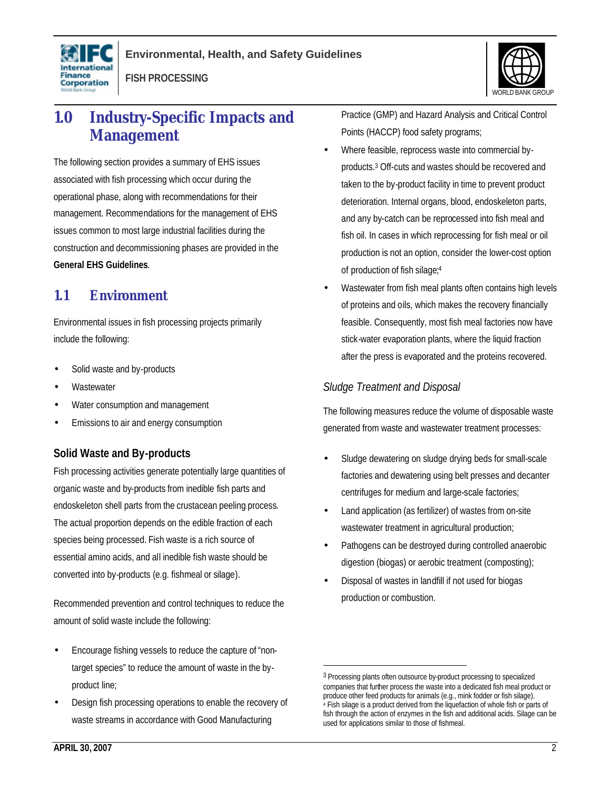





# **1.0 Industry-Specific Impacts and Management**

The following section provides a summary of EHS issues associated with fish processing which occur during the operational phase, along with recommendations for their management. Recommendations for the management of EHS issues common to most large industrial facilities during the construction and decommissioning phases are provided in the **General EHS Guidelines**.

# **1.1 Environment**

Environmental issues in fish processing projects primarily include the following:

- Solid waste and by-products
- **Wastewater**
- Water consumption and management
- Emissions to air and energy consumption

# **Solid Waste and By-products**

Fish processing activities generate potentially large quantities of organic waste and by-products from inedible fish parts and endoskeleton shell parts from the crustacean peeling process. The actual proportion depends on the edible fraction of each species being processed. Fish waste is a rich source of essential amino acids, and all inedible fish waste should be converted into by-products (e.g. fishmeal or silage).

Recommended prevention and control techniques to reduce the amount of solid waste include the following:

- Encourage fishing vessels to reduce the capture of "nontarget species" to reduce the amount of waste in the byproduct line;
- Design fish processing operations to enable the recovery of waste streams in accordance with Good Manufacturing

Practice (GMP) and Hazard Analysis and Critical Control Points (HACCP) food safety programs;

- Where feasible, reprocess waste into commercial byproducts.<sup>3</sup> Off-cuts and wastes should be recovered and taken to the by-product facility in time to prevent product deterioration. Internal organs, blood, endoskeleton parts, and any by-catch can be reprocessed into fish meal and fish oil. In cases in which reprocessing for fish meal or oil production is not an option, consider the lower-cost option of production of fish silage;<sup>4</sup>
- Wastewater from fish meal plants often contains high levels of proteins and oils, which makes the recovery financially feasible. Consequently, most fish meal factories now have stick-water evaporation plants, where the liquid fraction after the press is evaporated and the proteins recovered.

# *Sludge Treatment and Disposal*

The following measures reduce the volume of disposable waste generated from waste and wastewater treatment processes:

- Sludge dewatering on sludge drying beds for small-scale factories and dewatering using belt presses and decanter centrifuges for medium and large-scale factories;
- Land application (as fertilizer) of wastes from on-site wastewater treatment in agricultural production;
- Pathogens can be destroyed during controlled anaerobic digestion (biogas) or aerobic treatment (composting);
- Disposal of wastes in landfill if not used for biogas production or combustion.

<u>.</u>

<sup>&</sup>lt;sup>3</sup> Processing plants often outsource by-product processing to specialized companies that further process the waste into a dedicated fish meal product or produce other feed products for animals (e.g., mink fodder or fish silage). 4 Fish silage is a product derived from the liquefaction of whole fish or parts of fish through the action of enzymes in the fish and additional acids. Silage can be used for applications similar to those of fishmeal.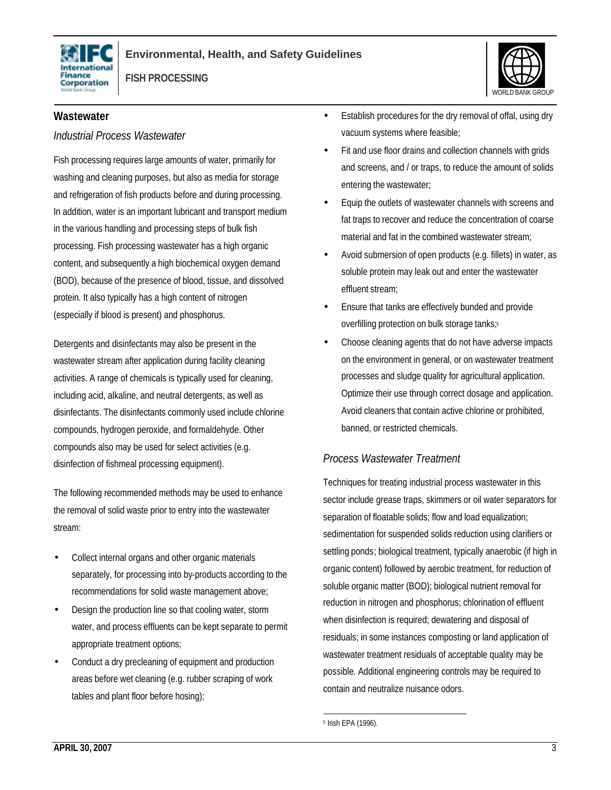





#### **Wastewater**

#### *Industrial Process Wastewater*

Fish processing requires large amounts of water, primarily for washing and cleaning purposes, but also as media for storage and refrigeration of fish products before and during processing. In addition, water is an important lubricant and transport medium in the various handling and processing steps of bulk fish processing. Fish processing wastewater has a high organic content, and subsequently a high biochemical oxygen demand (BOD), because of the presence of blood, tissue, and dissolved protein. It also typically has a high content of nitrogen (especially if blood is present) and phosphorus.

Detergents and disinfectants may also be present in the wastewater stream after application during facility cleaning activities. A range of chemicals is typically used for cleaning, including acid, alkaline, and neutral detergents, as well as disinfectants. The disinfectants commonly used include chlorine compounds, hydrogen peroxide, and formaldehyde. Other compounds also may be used for select activities (e.g. disinfection of fishmeal processing equipment).

The following recommended methods may be used to enhance the removal of solid waste prior to entry into the wastewater stream:

- Collect internal organs and other organic materials separately, for processing into by-products according to the recommendations for solid waste management above;
- Design the production line so that cooling water, storm water, and process effluents can be kept separate to permit appropriate treatment options;
- Conduct a dry precleaning of equipment and production areas before wet cleaning (e.g. rubber scraping of work tables and plant floor before hosing);
- Establish procedures for the dry removal of offal, using dry vacuum systems where feasible;
- Fit and use floor drains and collection channels with grids and screens, and / or traps, to reduce the amount of solids entering the wastewater;
- Equip the outlets of wastewater channels with screens and fat traps to recover and reduce the concentration of coarse material and fat in the combined wastewater stream;
- Avoid submersion of open products (e.g. fillets) in water, as soluble protein may leak out and enter the wastewater effluent stream;
- Ensure that tanks are effectively bunded and provide overfilling protection on bulk storage tanks;<sup>5</sup>
- Choose cleaning agents that do not have adverse impacts on the environment in general, or on wastewater treatment processes and sludge quality for agricultural application. Optimize their use through correct dosage and application. Avoid cleaners that contain active chlorine or prohibited, banned, or restricted chemicals.

#### *Process Wastewater Treatment*

Techniques for treating industrial process wastewater in this sector include grease traps, skimmers or oil water separators for separation of floatable solids; flow and load equalization; sedimentation for suspended solids reduction using clarifiers or settling ponds; biological treatment, typically anaerobic (if high in organic content) followed by aerobic treatment, for reduction of soluble organic matter (BOD); biological nutrient removal for reduction in nitrogen and phosphorus; chlorination of effluent when disinfection is required; dewatering and disposal of residuals; in some instances composting or land application of wastewater treatment residuals of acceptable quality may be possible. Additional engineering controls may be required to contain and neutralize nuisance odors.

<sup>1</sup> 5 Irish EPA (1996).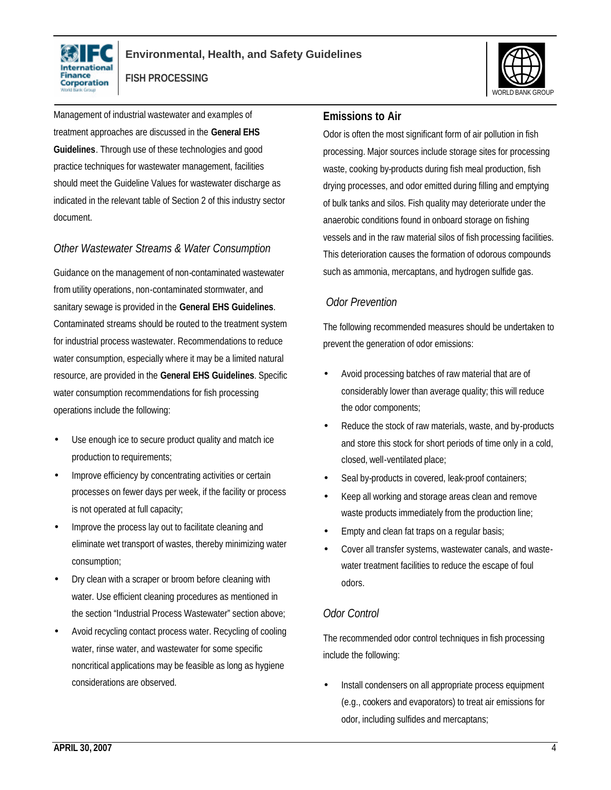



Management of industrial wastewater and examples of treatment approaches are discussed in the **General EHS Guidelines**. Through use of these technologies and good practice techniques for wastewater management, facilities should meet the Guideline Values for wastewater discharge as indicated in the relevant table of Section 2 of this industry sector document.

# *Other Wastewater Streams & Water Consumption*

Guidance on the management of non-contaminated wastewater from utility operations, non-contaminated stormwater, and sanitary sewage is provided in the **General EHS Guidelines**. Contaminated streams should be routed to the treatment system for industrial process wastewater. Recommendations to reduce water consumption, especially where it may be a limited natural resource, are provided in the **General EHS Guidelines**. Specific water consumption recommendations for fish processing operations include the following:

- Use enough ice to secure product quality and match ice production to requirements;
- Improve efficiency by concentrating activities or certain processes on fewer days per week, if the facility or process is not operated at full capacity;
- Improve the process lay out to facilitate cleaning and eliminate wet transport of wastes, thereby minimizing water consumption;
- Dry clean with a scraper or broom before cleaning with water. Use efficient cleaning procedures as mentioned in the section "Industrial Process Wastewater" section above;
- Avoid recycling contact process water. Recycling of cooling water, rinse water, and wastewater for some specific noncritical applications may be feasible as long as hygiene considerations are observed.

#### **Emissions to Air**

Odor is often the most significant form of air pollution in fish processing. Major sources include storage sites for processing waste, cooking by-products during fish meal production, fish drying processes, and odor emitted during filling and emptying of bulk tanks and silos. Fish quality may deteriorate under the anaerobic conditions found in onboard storage on fishing vessels and in the raw material silos of fish processing facilities. This deterioration causes the formation of odorous compounds such as ammonia, mercaptans, and hydrogen sulfide gas.

# *Odor Prevention*

The following recommended measures should be undertaken to prevent the generation of odor emissions:

- Avoid processing batches of raw material that are of considerably lower than average quality; this will reduce the odor components;
- Reduce the stock of raw materials, waste, and by-products and store this stock for short periods of time only in a cold, closed, well-ventilated place;
- Seal by-products in covered, leak-proof containers;
- Keep all working and storage areas clean and remove waste products immediately from the production line;
- Empty and clean fat traps on a regular basis;
- Cover all transfer systems, wastewater canals, and wastewater treatment facilities to reduce the escape of foul odors.

#### *Odor Control*

The recommended odor control techniques in fish processing include the following:

Install condensers on all appropriate process equipment (e.g., cookers and evaporators) to treat air emissions for odor, including sulfides and mercaptans;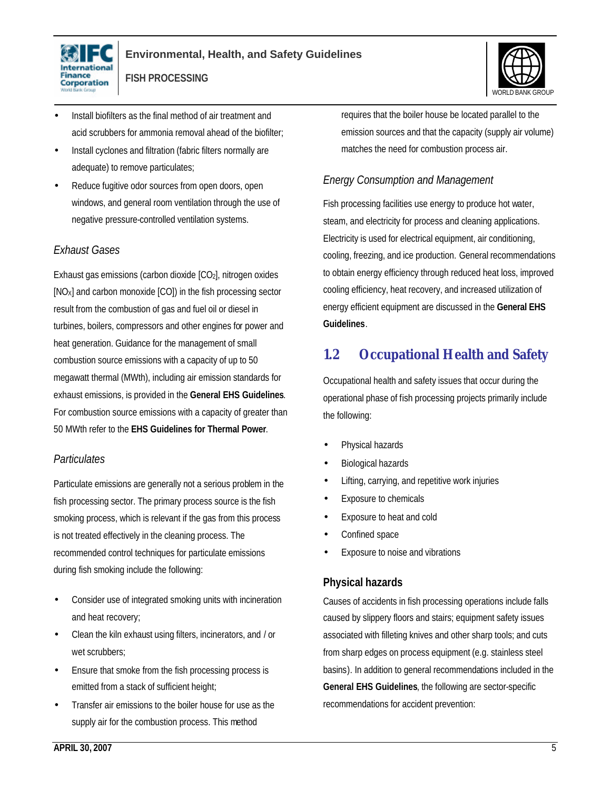

- Install biofilters as the final method of air treatment and acid scrubbers for ammonia removal ahead of the biofilter;
- Install cyclones and filtration (fabric filters normally are adequate) to remove particulates;
- Reduce fugitive odor sources from open doors, open windows, and general room ventilation through the use of negative pressure-controlled ventilation systems.

### *Exhaust Gases*

Exhaust gas emissions (carbon dioxide [CO2], nitrogen oxides [NOX] and carbon monoxide [CO]) in the fish processing sector result from the combustion of gas and fuel oil or diesel in turbines, boilers, compressors and other engines for power and heat generation. Guidance for the management of small combustion source emissions with a capacity of up to 50 megawatt thermal (MWth), including air emission standards for exhaust emissions, is provided in the **General EHS Guidelines**. For combustion source emissions with a capacity of greater than 50 MWth refer to the **EHS Guidelines for Thermal Power**.

#### *Particulates*

Particulate emissions are generally not a serious problem in the fish processing sector. The primary process source is the fish smoking process, which is relevant if the gas from this process is not treated effectively in the cleaning process. The recommended control techniques for particulate emissions during fish smoking include the following:

- Consider use of integrated smoking units with incineration and heat recovery;
- Clean the kiln exhaust using filters, incinerators, and / or wet scrubbers;
- Ensure that smoke from the fish processing process is emitted from a stack of sufficient height;
- Transfer air emissions to the boiler house for use as the supply air for the combustion process. This method

requires that the boiler house be located parallel to the emission sources and that the capacity (supply air volume) matches the need for combustion process air.

### *Energy Consumption and Management*

Fish processing facilities use energy to produce hot water, steam, and electricity for process and cleaning applications. Electricity is used for electrical equipment, air conditioning, cooling, freezing, and ice production. General recommendations to obtain energy efficiency through reduced heat loss, improved cooling efficiency, heat recovery, and increased utilization of energy efficient equipment are discussed in the **General EHS Guidelines**.

# **1.2 Occupational Health and Safety**

Occupational health and safety issues that occur during the operational phase of fish processing projects primarily include the following:

- Physical hazards
- Biological hazards
- Lifting, carrying, and repetitive work injuries
- Exposure to chemicals
- Exposure to heat and cold
- Confined space
- Exposure to noise and vibrations

# **Physical hazards**

Causes of accidents in fish processing operations include falls caused by slippery floors and stairs; equipment safety issues associated with filleting knives and other sharp tools; and cuts from sharp edges on process equipment (e.g. stainless steel basins). In addition to general recommendations included in the **General EHS Guidelines**, the following are sector-specific recommendations for accident prevention:

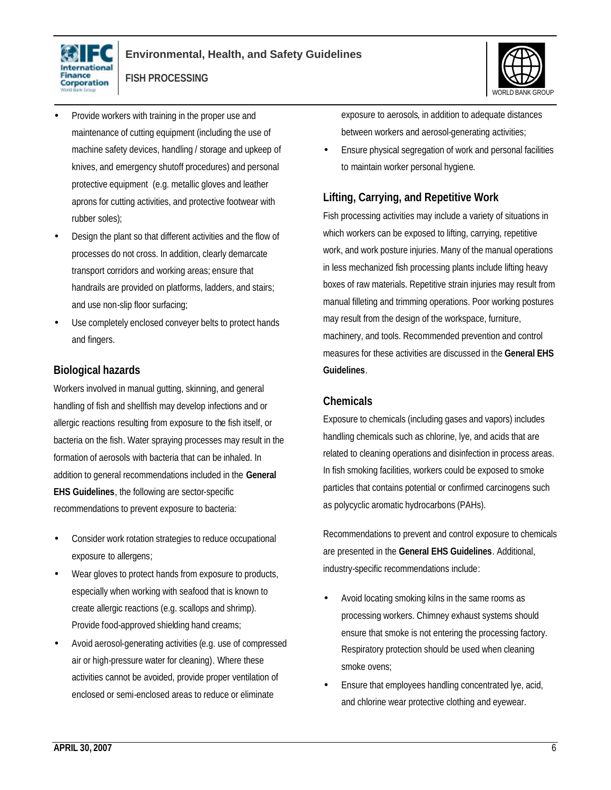



- Provide workers with training in the proper use and maintenance of cutting equipment (including the use of machine safety devices, handling / storage and upkeep of knives, and emergency shutoff procedures) and personal protective equipment (e.g. metallic gloves and leather aprons for cutting activities, and protective footwear with rubber soles);
- Design the plant so that different activities and the flow of processes do not cross. In addition, clearly demarcate transport corridors and working areas; ensure that handrails are provided on platforms, ladders, and stairs; and use non-slip floor surfacing;
- Use completely enclosed conveyer belts to protect hands and fingers.

# **Biological hazards**

Workers involved in manual gutting, skinning, and general handling of fish and shellfish may develop infections and or allergic reactions resulting from exposure to the fish itself, or bacteria on the fish. Water spraying processes may result in the formation of aerosols with bacteria that can be inhaled. In addition to general recommendations included in the **General EHS Guidelines**, the following are sector-specific recommendations to prevent exposure to bacteria:

- Consider work rotation strategies to reduce occupational exposure to allergens;
- Wear gloves to protect hands from exposure to products, especially when working with seafood that is known to create allergic reactions (e.g. scallops and shrimp). Provide food-approved shielding hand creams;
- Avoid aerosol-generating activities (e.g. use of compressed air or high-pressure water for cleaning). Where these activities cannot be avoided, provide proper ventilation of enclosed or semi-enclosed areas to reduce or eliminate

exposure to aerosols, in addition to adequate distances between workers and aerosol-generating activities;

• Ensure physical segregation of work and personal facilities to maintain worker personal hygiene.

# **Lifting, Carrying, and Repetitive Work**

Fish processing activities may include a variety of situations in which workers can be exposed to lifting, carrying, repetitive work, and work posture injuries. Many of the manual operations in less mechanized fish processing plants include lifting heavy boxes of raw materials. Repetitive strain injuries may result from manual filleting and trimming operations. Poor working postures may result from the design of the workspace, furniture, machinery, and tools. Recommended prevention and control measures for these activities are discussed in the **General EHS Guidelines**.

### **Chemicals**

Exposure to chemicals (including gases and vapors) includes handling chemicals such as chlorine, lye, and acids that are related to cleaning operations and disinfection in process areas. In fish smoking facilities, workers could be exposed to smoke particles that contains potential or confirmed carcinogens such as polycyclic aromatic hydrocarbons (PAHs).

Recommendations to prevent and control exposure to chemicals are presented in the **General EHS Guidelines**. Additional, industry-specific recommendations include:

- Avoid locating smoking kilns in the same rooms as processing workers. Chimney exhaust systems should ensure that smoke is not entering the processing factory. Respiratory protection should be used when cleaning smoke ovens;
- Ensure that employees handling concentrated lye, acid, and chlorine wear protective clothing and eyewear.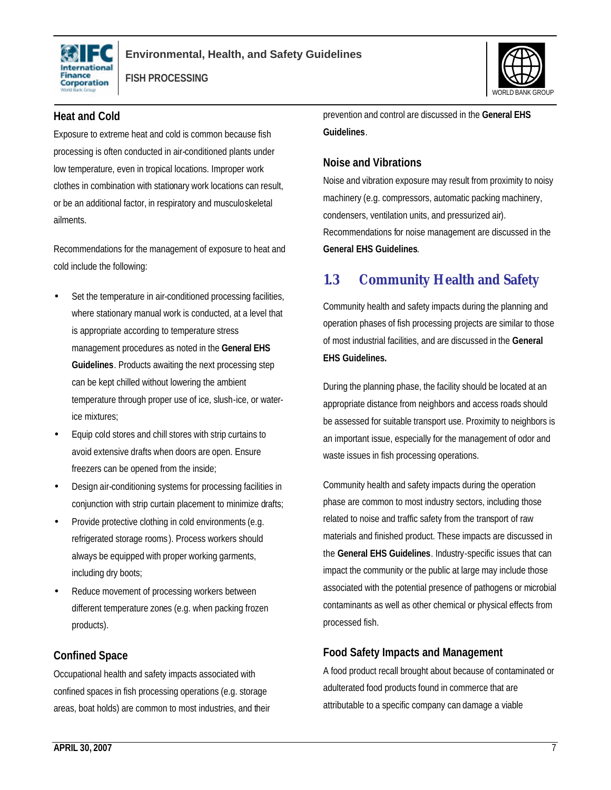

#### **Heat and Cold**

Exposure to extreme heat and cold is common because fish processing is often conducted in air-conditioned plants under low temperature, even in tropical locations. Improper work clothes in combination with stationary work locations can result, or be an additional factor, in respiratory and musculoskeletal ailments.

Recommendations for the management of exposure to heat and cold include the following:

- Set the temperature in air-conditioned processing facilities, where stationary manual work is conducted, at a level that is appropriate according to temperature stress management procedures as noted in the **General EHS Guidelines**. Products awaiting the next processing step can be kept chilled without lowering the ambient temperature through proper use of ice, slush-ice, or waterice mixtures;
- Equip cold stores and chill stores with strip curtains to avoid extensive drafts when doors are open. Ensure freezers can be opened from the inside;
- Design air-conditioning systems for processing facilities in conjunction with strip curtain placement to minimize drafts;
- Provide protective clothing in cold environments (e.g. refrigerated storage rooms). Process workers should always be equipped with proper working garments, including dry boots;
- Reduce movement of processing workers between different temperature zones (e.g. when packing frozen products).

#### **Confined Space**

Occupational health and safety impacts associated with confined spaces in fish processing operations (e.g. storage areas, boat holds) are common to most industries, and their



prevention and control are discussed in the **General EHS Guidelines**.

#### **Noise and Vibrations**

Noise and vibration exposure may result from proximity to noisy machinery (e.g. compressors, automatic packing machinery, condensers, ventilation units, and pressurized air). Recommendations for noise management are discussed in the **General EHS Guidelines**.

# **1.3 Community Health and Safety**

Community health and safety impacts during the planning and operation phases of fish processing projects are similar to those of most industrial facilities, and are discussed in the **General EHS Guidelines.** 

During the planning phase, the facility should be located at an appropriate distance from neighbors and access roads should be assessed for suitable transport use. Proximity to neighbors is an important issue, especially for the management of odor and waste issues in fish processing operations.

Community health and safety impacts during the operation phase are common to most industry sectors, including those related to noise and traffic safety from the transport of raw materials and finished product. These impacts are discussed in the **General EHS Guidelines**. Industry-specific issues that can impact the community or the public at large may include those associated with the potential presence of pathogens or microbial contaminants as well as other chemical or physical effects from processed fish.

# **Food Safety Impacts and Management**

A food product recall brought about because of contaminated or adulterated food products found in commerce that are attributable to a specific company can damage a viable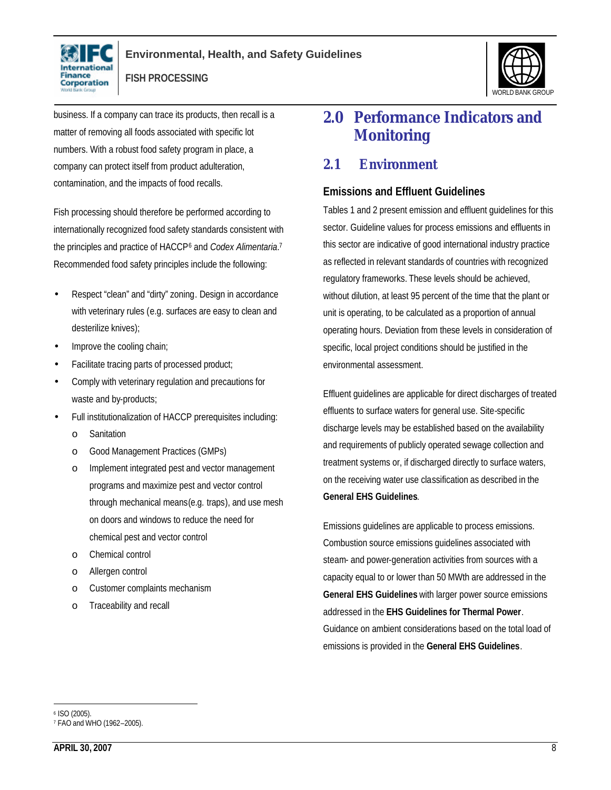



business. If a company can trace its products, then recall is a matter of removing all foods associated with specific lot numbers. With a robust food safety program in place, a company can protect itself from product adulteration, contamination, and the impacts of food recalls.

Fish processing should therefore be performed according to internationally recognized food safety standards consistent with the principles and practice of HACCP<sup>6</sup> and *Codex Alimentaria*.<sup>7</sup> Recommended food safety principles include the following:

- Respect "clean" and "dirty" zoning. Design in accordance with veterinary rules (e.g. surfaces are easy to clean and desterilize knives);
- Improve the cooling chain;
- Facilitate tracing parts of processed product;
- Comply with veterinary regulation and precautions for waste and by-products;
- Full institutionalization of HACCP prerequisites including:
	- o Sanitation
	- o Good Management Practices (GMPs)
	- o Implement integrated pest and vector management programs and maximize pest and vector control through mechanical means(e.g. traps), and use mesh on doors and windows to reduce the need for chemical pest and vector control
	- o Chemical control
	- o Allergen control
	- o Customer complaints mechanism
	- o Traceability and recall

# **2.0 Performance Indicators and Monitoring**

# **2.1 Environment**

#### **Emissions and Effluent Guidelines**

Tables 1 and 2 present emission and effluent guidelines for this sector. Guideline values for process emissions and effluents in this sector are indicative of good international industry practice as reflected in relevant standards of countries with recognized regulatory frameworks. These levels should be achieved, without dilution, at least 95 percent of the time that the plant or unit is operating, to be calculated as a proportion of annual operating hours. Deviation from these levels in consideration of specific, local project conditions should be justified in the environmental assessment.

Effluent guidelines are applicable for direct discharges of treated effluents to surface waters for general use. Site-specific discharge levels may be established based on the availability and requirements of publicly operated sewage collection and treatment systems or, if discharged directly to surface waters, on the receiving water use classification as described in the **General EHS Guidelines**.

Emissions guidelines are applicable to process emissions. Combustion source emissions guidelines associated with steam- and power-generation activities from sources with a capacity equal to or lower than 50 MWth are addressed in the **General EHS Guidelines** with larger power source emissions addressed in the **EHS Guidelines for Thermal Power**. Guidance on ambient considerations based on the total load of emissions is provided in the **General EHS Guidelines**.

 $\overline{a}$ 6 ISO (2005).

<sup>7</sup> FAO and WHO (1962–2005).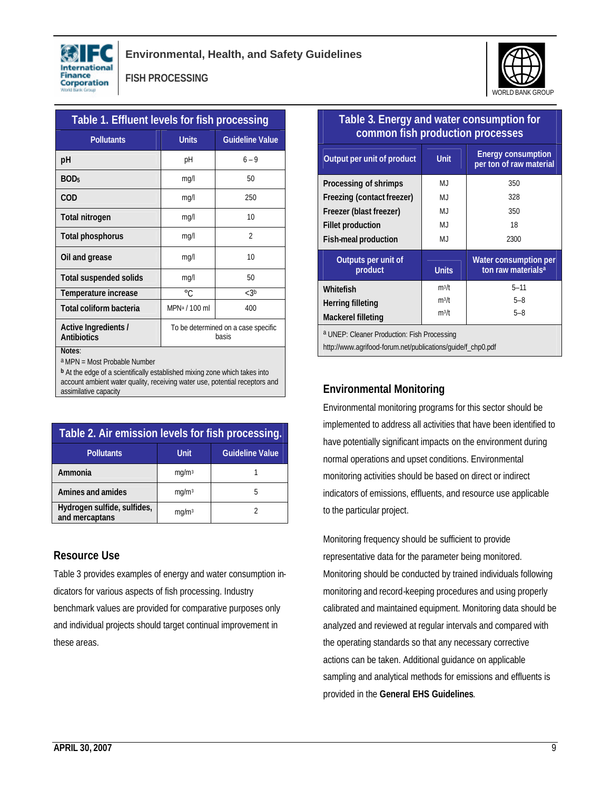



| Table 1. Effluent levels for fish processing |                                              |                          |  |
|----------------------------------------------|----------------------------------------------|--------------------------|--|
| <b>Pollutants</b>                            | <b>Units</b>                                 | <b>Guideline Value</b>   |  |
| рH                                           | рH                                           | $6 - 9$                  |  |
| BOD <sub>5</sub>                             | mg/l                                         | 50                       |  |
| COD                                          | mg/l                                         | 250                      |  |
| Total nitrogen                               | mq/l                                         | 10                       |  |
| Total phosphorus                             | mg/l                                         | $\overline{\phantom{a}}$ |  |
| Oil and grease                               | mq/l                                         | 10                       |  |
| <b>Total suspended solids</b>                | mq/l                                         | 50                       |  |
| Temperature increase                         | $^{\circ}C$                                  | < 3b                     |  |
| Total coliform bacteria                      | MPN <sup>a</sup> / 100 ml                    | 400                      |  |
| Active Ingredients /<br>Antibiotics          | To be determined on a case specific<br>hasis |                          |  |
| Notes:                                       |                                              |                          |  |

a MPN = Most Probable Number

**b** At the edge of a scientifically established mixing zone which takes into account ambient water quality, receiving water use, potential receptors and assimilative capacity

| Table 2. Air emission levels for fish processing. |                   |                        |  |
|---------------------------------------------------|-------------------|------------------------|--|
| <b>Pollutants</b>                                 | <b>Unit</b>       | <b>Guideline Value</b> |  |
| Ammonia                                           | mq/m <sup>3</sup> |                        |  |
| Amines and amides                                 | mq/m <sup>3</sup> | 5                      |  |
| Hydrogen sulfide, sulfides,<br>and mercaptans     | mq/m <sup>3</sup> |                        |  |

# **Resource Use**

Table 3 provides examples of energy and water consumption indicators for various aspects of fish processing. Industry benchmark values are provided for comparative purposes only and individual projects should target continual improvement in these areas.

| common fish production processes            |              |                                                         |  |  |
|---------------------------------------------|--------------|---------------------------------------------------------|--|--|
| Output per unit of product                  | <b>Unit</b>  | <b>Energy consumption</b><br>per ton of raw material    |  |  |
| Processing of shrimps                       | $M_{\cdot}$  | 350                                                     |  |  |
| Freezing (contact freezer)                  | M.J          | 328                                                     |  |  |
| Freezer (blast freezer)                     | M.J          | 350                                                     |  |  |
| <b>Fillet production</b>                    | M.J          | 18                                                      |  |  |
| Fish-meal production                        | MJ           | 2300                                                    |  |  |
|                                             |              |                                                         |  |  |
| Outputs per unit of<br>product              | <b>Units</b> | Water consumption per<br>ton raw materials <sup>a</sup> |  |  |
| Whitefish                                   | $m^3/t$      | $5 - 11$                                                |  |  |
| Herring filleting                           | $m^3/t$      | $5 - 8$                                                 |  |  |
| Mackerel filleting                          | $m^3/t$      | $5 - 8$                                                 |  |  |
| a UNEP: Cleaner Production: Fish Processing |              |                                                         |  |  |

**Table 3. Energy and water consumption for** 

# **Environmental Monitoring**

Environmental monitoring programs for this sector should be implemented to address all activities that have been identified to have potentially significant impacts on the environment during normal operations and upset conditions. Environmental monitoring activities should be based on direct or indirect indicators of emissions, effluents, and resource use applicable to the particular project.

Monitoring frequency should be sufficient to provide representative data for the parameter being monitored. Monitoring should be conducted by trained individuals following monitoring and record-keeping procedures and using properly calibrated and maintained equipment. Monitoring data should be analyzed and reviewed at regular intervals and compared with the operating standards so that any necessary corrective actions can be taken. Additional guidance on applicable sampling and analytical methods for emissions and effluents is provided in the **General EHS Guidelines**.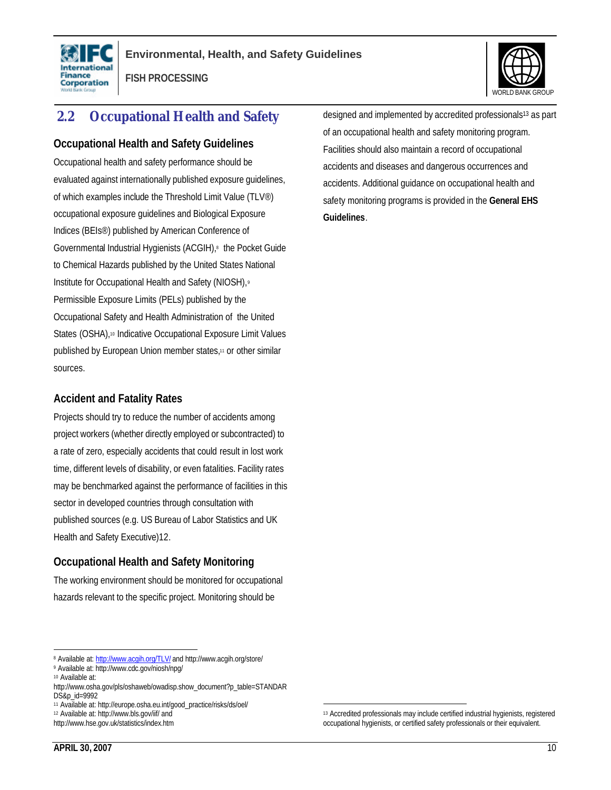



# **2.2 Occupational Health and Safety**

#### **Occupational Health and Safety Guidelines**

Occupational health and safety performance should be evaluated against internationally published exposure guidelines, of which examples include the Threshold Limit Value (TLV®) occupational exposure guidelines and Biological Exposure Indices (BEIs®) published by American Conference of Governmental Industrial Hygienists (ACGIH),<sup>8</sup> the Pocket Guide to Chemical Hazards published by the United States National Institute for Occupational Health and Safety (NIOSH),<sup>9</sup> Permissible Exposure Limits (PELs) published by the Occupational Safety and Health Administration of the United States (OSHA),<sup>10</sup> Indicative Occupational Exposure Limit Values published by European Union member states,<sup>11</sup> or other similar sources.

#### **Accident and Fatality Rates**

Projects should try to reduce the number of accidents among project workers (whether directly employed or subcontracted) to a rate of zero, especially accidents that could result in lost work time, different levels of disability, or even fatalities. Facility rates may be benchmarked against the performance of facilities in this sector in developed countries through consultation with published sources (e.g. US Bureau of Labor Statistics and UK Health and Safety Executive)12.

# **Occupational Health and Safety Monitoring**

The working environment should be monitored for occupational hazards relevant to the specific project. Monitoring should be

<sup>12</sup> Available at: http://www.bls.gov/iif/ and

designed and implemented by accredited professionals<sup>13</sup> as part of an occupational health and safety monitoring program. Facilities should also maintain a record of occupational accidents and diseases and dangerous occurrences and accidents. Additional guidance on occupational health and safety monitoring programs is provided in the **General EHS Guidelines**.

 $\overline{a}$ 

<sup>&</sup>lt;sup>8</sup> Available at: <u>http://www.acqih.org/TLV/</u> and http://www.acgih.org/store/

<sup>9</sup> Available at: http://www.cdc.gov/niosh/npg/

<sup>10</sup> Available at:

http://www.osha.gov/pls/oshaweb/owadisp.show\_document?p\_table=STANDAR DS&p\_id=9992

<sup>11</sup> Available at: http://europe.osha.eu.int/good\_practice/risks/ds/oel/

http://www.hse.gov.uk/statistics/index.htm

<sup>13</sup> Accredited professionals may include certified industrial hygienists, registered occupational hygienists, or certified safety professionals or their equivalent.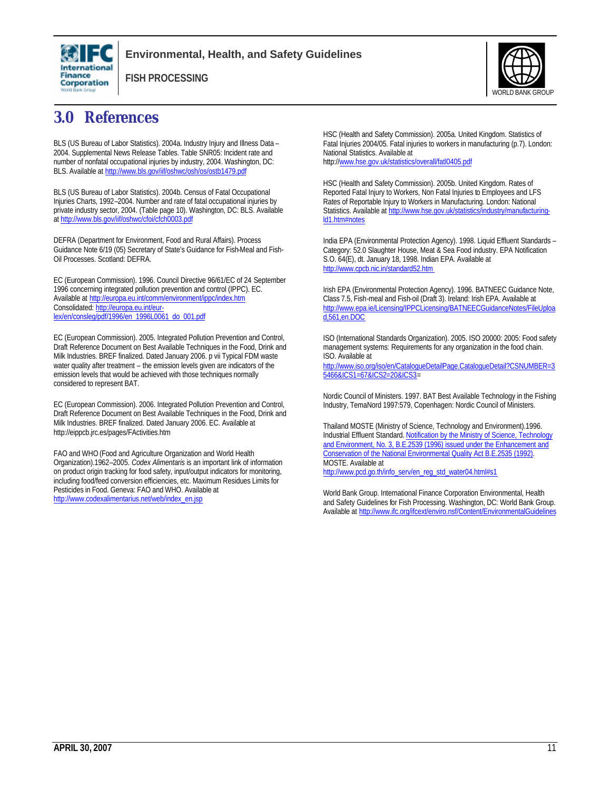

#### **Environmental, Health, and Safety Guidelines**

**FISH PROCESSING**



# **3.0 References**

BLS (US Bureau of Labor Statistics). 2004a. Industry Injury and Illness Data – 2004. Supplemental News Release Tables. Table SNR05: Incident rate and number of nonfatal occupational injuries by industry, 2004. Washington, DC: BLS. Available at http://www.bls.gov/iif/oshwc/osh/os/ostb1479.pdf

BLS (US Bureau of Labor Statistics). 2004b. Census of Fatal Occupational Injuries Charts, 1992–2004. Number and rate of fatal occupational injuries by private industry sector, 2004. (Table page 10). Washington, DC: BLS. Available at http://www.bls.gov/iif/oshwc/cfoi/cfch0003.pdf

DEFRA (Department for Environment, Food and Rural Affairs). Process Guidance Note 6/19 (05) Secretary of State's Guidance for Fish-Meal and Fish-Oil Processes. Scotland: DEFRA.

EC (European Commission). 1996. Council Directive 96/61/EC of 24 September 1996 concerning integrated pollution prevention and control (IPPC). EC. Available at http://europa.eu.int/comm/environment/ippc/index.htm Consolidated: http://europa.eu.int/eurlex/en/consleg/pdf/1996/en\_1996L0061\_do\_001.pdf

EC (European Commission). 2005. Integrated Pollution Prevention and Control, Draft Reference Document on Best Available Techniques in the Food, Drink and Milk Industries. BREF finalized. Dated January 2006. p vii Typical FDM waste water quality after treatment – the emission levels given are indicators of the emission levels that would be achieved with those techniques normally considered to represent BAT.

EC (European Commission). 2006. Integrated Pollution Prevention and Control, Draft Reference Document on Best Available Techniques in the Food, Drink and Milk Industries. BREF finalized. Dated January 2006. EC. Available at http://eippcb.jrc.es/pages/FActivities.htm

FAO and WHO (Food and Agriculture Organization and World Health Organization).1962–2005. *Codex Alimentaris* is an important link of information on product origin tracking for food safety, input/output indicators for monitoring, including food/feed conversion efficiencies, etc. Maximum Residues Limits for Pesticides in Food. Geneva: FAO and WHO. Available at http://www.codexalimentarius.net/web/index\_en.jsp

HSC (Health and Safety Commission). 2005a. United Kingdom. Statistics of Fatal Injuries 2004/05. Fatal injuries to workers in manufacturing (p.7). London: National Statistics. Available at http://www.hse.gov.uk/statistics/overall/fatl0405.pdf

HSC (Health and Safety Commission). 2005b. United Kingdom. Rates of Reported Fatal Injury to Workers, Non Fatal Injuries to Employees and LFS Rates of Reportable Injury to Workers in Manufacturing. London: National Statistics. Available at http://www.hse.gov.uk/statistics/industry/manufacturingld1.htm#notes

India EPA (Environmental Protection Agency). 1998. Liquid Effluent Standards – Category: 52.0 Slaughter House, Meat & Sea Food industry. EPA Notification S.O. 64(E), dt. January 18, 1998. Indian EPA. Available at http://www.cpcb.nic.in/standard52.htm

Irish EPA (Environmental Protection Agency). 1996. BATNEEC Guidance Note, Class 7.5, Fish-meal and Fish-oil (Draft 3). Ireland: Irish EPA. Available at http://www.epa.ie/Licensing/IPPCLicensing/BATNEECGuidanceNotes/FileUploa d,561,en.DOC

ISO (International Standards Organization). 2005. ISO 20000: 2005: Food safety management systems: Requirements for any organization in the food chain. ISO. Available at http://www.iso.org/iso/en/CatalogueDetailPage.CatalogueDetail?CSNUMBER=3

5466&ICS1=67&ICS2=20&ICS3=

Nordic Council of Ministers. 1997. BAT Best Available Technology in the Fishing Industry, TemaNord 1997:579, Copenhagen: Nordic Council of Ministers.

Thailand MOSTE (Ministry of Science, Technology and Environment).1996. Industrial Effluent Standard. Notification by the Ministry of Science, Technology and Environment, No. 3, B.E.2539 (1996) issued under the Enhancement and Conservation of the National Environmental Quality Act B.E.2535 (1992). MOSTE. Available at http://www.pcd.go.th/info\_serv/en\_reg\_std\_water04.html#s1

World Bank Group. International Finance Corporation Environmental, Health and Safety Guidelines for Fish Processing. Washington, DC: World Bank Group. Available at http://www.ifc.org/ifcext/enviro.nsf/Content/EnvironmentalGuidelines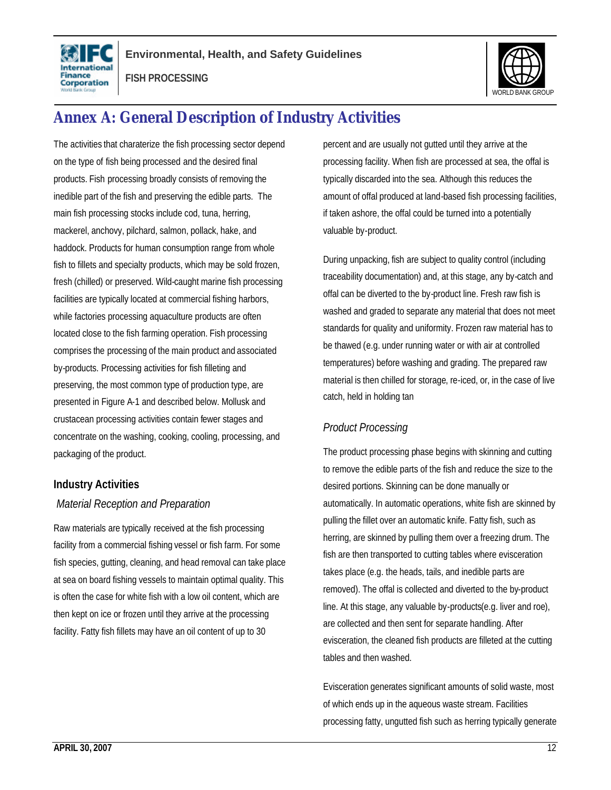



# **Annex A: General Description of Industry Activities**

The activities that charaterize the fish processing sector depend on the type of fish being processed and the desired final products. Fish processing broadly consists of removing the inedible part of the fish and preserving the edible parts. The main fish processing stocks include cod, tuna, herring, mackerel, anchovy, pilchard, salmon, pollack, hake, and haddock. Products for human consumption range from whole fish to fillets and specialty products, which may be sold frozen, fresh (chilled) or preserved. Wild-caught marine fish processing facilities are typically located at commercial fishing harbors, while factories processing aquaculture products are often located close to the fish farming operation. Fish processing comprises the processing of the main product and associated by-products. Processing activities for fish filleting and preserving, the most common type of production type, are presented in Figure A-1 and described below. Mollusk and crustacean processing activities contain fewer stages and concentrate on the washing, cooking, cooling, processing, and packaging of the product.

#### **Industry Activities**

#### *Material Reception and Preparation*

Raw materials are typically received at the fish processing facility from a commercial fishing vessel or fish farm. For some fish species, gutting, cleaning, and head removal can take place at sea on board fishing vessels to maintain optimal quality. This is often the case for white fish with a low oil content, which are then kept on ice or frozen until they arrive at the processing facility. Fatty fish fillets may have an oil content of up to 30

percent and are usually not gutted until they arrive at the processing facility. When fish are processed at sea, the offal is typically discarded into the sea. Although this reduces the amount of offal produced at land-based fish processing facilities, if taken ashore, the offal could be turned into a potentially valuable by-product.

During unpacking, fish are subject to quality control (including traceability documentation) and, at this stage, any by-catch and offal can be diverted to the by-product line. Fresh raw fish is washed and graded to separate any material that does not meet standards for quality and uniformity. Frozen raw material has to be thawed (e.g. under running water or with air at controlled temperatures) before washing and grading. The prepared raw material is then chilled for storage, re-iced, or, in the case of live catch, held in holding tan

# *Product Processing*

The product processing phase begins with skinning and cutting to remove the edible parts of the fish and reduce the size to the desired portions. Skinning can be done manually or automatically. In automatic operations, white fish are skinned by pulling the fillet over an automatic knife. Fatty fish, such as herring, are skinned by pulling them over a freezing drum. The fish are then transported to cutting tables where evisceration takes place (e.g. the heads, tails, and inedible parts are removed). The offal is collected and diverted to the by-product line. At this stage, any valuable by-products(e.g. liver and roe), are collected and then sent for separate handling. After evisceration, the cleaned fish products are filleted at the cutting tables and then washed.

Evisceration generates significant amounts of solid waste, most of which ends up in the aqueous waste stream. Facilities processing fatty, ungutted fish such as herring typically generate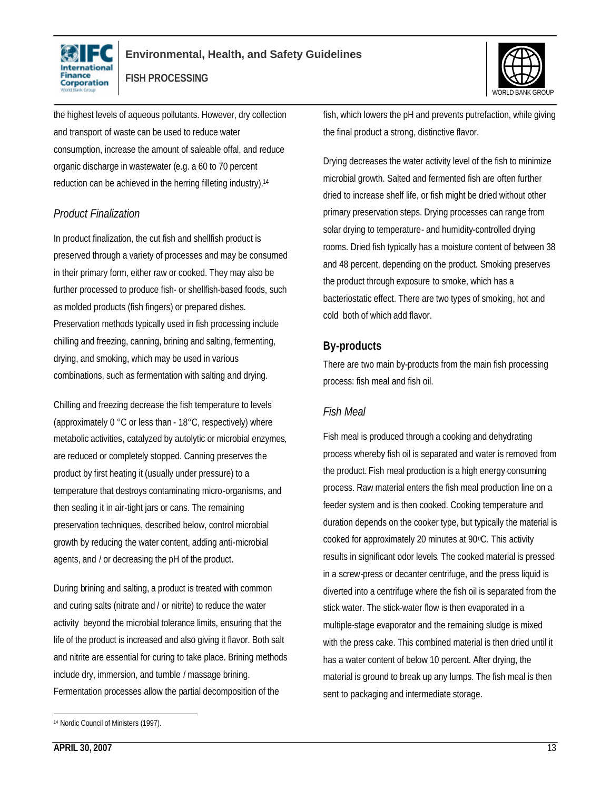



the highest levels of aqueous pollutants. However, dry collection and transport of waste can be used to reduce water consumption, increase the amount of saleable offal, and reduce organic discharge in wastewater (e.g. a 60 to 70 percent reduction can be achieved in the herring filleting industry).<sup>14</sup>

### *Product Finalization*

In product finalization, the cut fish and shellfish product is preserved through a variety of processes and may be consumed in their primary form, either raw or cooked. They may also be further processed to produce fish- or shellfish-based foods, such as molded products (fish fingers) or prepared dishes. Preservation methods typically used in fish processing include chilling and freezing, canning, brining and salting, fermenting, drying, and smoking, which may be used in various combinations, such as fermentation with salting and drying.

Chilling and freezing decrease the fish temperature to levels (approximately 0 °C or less than - 18°C, respectively) where metabolic activities, catalyzed by autolytic or microbial enzymes, are reduced or completely stopped. Canning preserves the product by first heating it (usually under pressure) to a temperature that destroys contaminating micro-organisms, and then sealing it in air-tight jars or cans. The remaining preservation techniques, described below, control microbial growth by reducing the water content, adding anti-microbial agents, and / or decreasing the pH of the product.

During brining and salting, a product is treated with common and curing salts (nitrate and / or nitrite) to reduce the water activity beyond the microbial tolerance limits, ensuring that the life of the product is increased and also giving it flavor. Both salt and nitrite are essential for curing to take place. Brining methods include dry, immersion, and tumble / massage brining. Fermentation processes allow the partial decomposition of the

fish, which lowers the pH and prevents putrefaction, while giving the final product a strong, distinctive flavor.

Drying decreases the water activity level of the fish to minimize microbial growth. Salted and fermented fish are often further dried to increase shelf life, or fish might be dried without other primary preservation steps. Drying processes can range from solar drying to temperature- and humidity-controlled drying rooms. Dried fish typically has a moisture content of between 38 and 48 percent, depending on the product. Smoking preserves the product through exposure to smoke, which has a bacteriostatic effect. There are two types of smoking, hot and cold both of which add flavor.

### **By-products**

There are two main by-products from the main fish processing process: fish meal and fish oil.

#### *Fish Meal*

Fish meal is produced through a cooking and dehydrating process whereby fish oil is separated and water is removed from the product. Fish meal production is a high energy consuming process. Raw material enters the fish meal production line on a feeder system and is then cooked. Cooking temperature and duration depends on the cooker type, but typically the material is cooked for approximately 20 minutes at 90 °C. This activity results in significant odor levels. The cooked material is pressed in a screw-press or decanter centrifuge, and the press liquid is diverted into a centrifuge where the fish oil is separated from the stick water. The stick-water flow is then evaporated in a multiple-stage evaporator and the remaining sludge is mixed with the press cake. This combined material is then dried until it has a water content of below 10 percent. After drying, the material is ground to break up any lumps. The fish meal is then sent to packaging and intermediate storage.

 $\overline{a}$ <sup>14</sup> Nordic Council of Ministers (1997).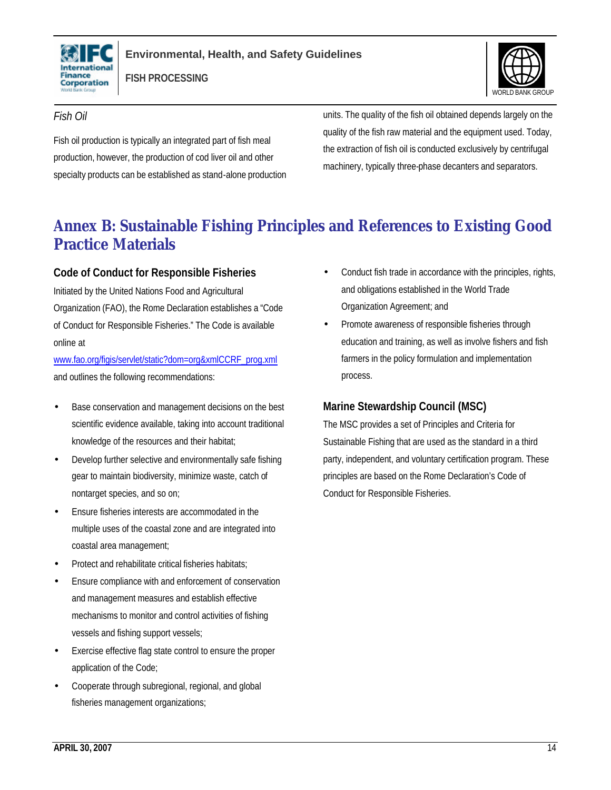



### *Fish Oil*

Fish oil production is typically an integrated part of fish meal production, however, the production of cod liver oil and other specialty products can be established as stand-alone production units. The quality of the fish oil obtained depends largely on the quality of the fish raw material and the equipment used. Today, the extraction of fish oil is conducted exclusively by centrifugal machinery, typically three-phase decanters and separators.

# **Annex B: Sustainable Fishing Principles and References to Existing Good Practice Materials**

### **Code of Conduct for Responsible Fisheries**

Initiated by the United Nations Food and Agricultural Organization (FAO), the Rome Declaration establishes a "Code of Conduct for Responsible Fisheries." The Code is available online at

www.fao.org/figis/servlet/static?dom=org&xmlCCRF\_prog.xml and outlines the following recommendations:

- Base conservation and management decisions on the best scientific evidence available, taking into account traditional knowledge of the resources and their habitat;
- Develop further selective and environmentally safe fishing gear to maintain biodiversity, minimize waste, catch of nontarget species, and so on;
- Ensure fisheries interests are accommodated in the multiple uses of the coastal zone and are integrated into coastal area management;
- Protect and rehabilitate critical fisheries habitats;
- Ensure compliance with and enforcement of conservation and management measures and establish effective mechanisms to monitor and control activities of fishing vessels and fishing support vessels;
- Exercise effective flag state control to ensure the proper application of the Code;
- Cooperate through subregional, regional, and global fisheries management organizations;
- Conduct fish trade in accordance with the principles, rights, and obligations established in the World Trade Organization Agreement; and
- Promote awareness of responsible fisheries through education and training, as well as involve fishers and fish farmers in the policy formulation and implementation process.

# **Marine Stewardship Council (MSC)**

The MSC provides a set of Principles and Criteria for Sustainable Fishing that are used as the standard in a third party, independent, and voluntary certification program. These principles are based on the Rome Declaration's Code of Conduct for Responsible Fisheries.